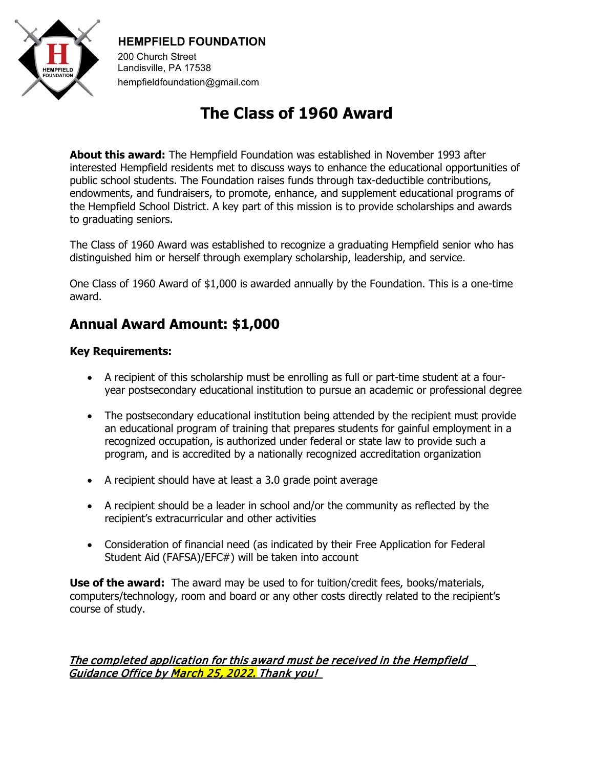

## **HEMPFIELD FOUNDATION**

200 Church Street Landisville, PA 17538 hempfieldfoundation@gmail.com

# **The Class of 1960 Award**

**About this award:** The Hempfield Foundation was established in November 1993 after interested Hempfield residents met to discuss ways to enhance the educational opportunities of public school students. The Foundation raises funds through tax-deductible contributions, endowments, and fundraisers, to promote, enhance, and supplement educational programs of the Hempfield School District. A key part of this mission is to provide scholarships and awards to graduating seniors.

The Class of 1960 Award was established to recognize a graduating Hempfield senior who has distinguished him or herself through exemplary scholarship, leadership, and service.

One Class of 1960 Award of \$1,000 is awarded annually by the Foundation. This is a one-time award.

# **Annual Award Amount: \$1,000**

#### **Key Requirements:**

- A recipient of this scholarship must be enrolling as full or part-time student at a fouryear postsecondary educational institution to pursue an academic or professional degree
- The postsecondary educational institution being attended by the recipient must provide an educational program of training that prepares students for gainful employment in a recognized occupation, is authorized under federal or state law to provide such a program, and is accredited by a nationally recognized accreditation organization
- A recipient should have at least a 3.0 grade point average
- A recipient should be a leader in school and/or the community as reflected by the recipient's extracurricular and other activities
- Consideration of financial need (as indicated by their Free Application for Federal Student Aid (FAFSA)/EFC#) will be taken into account

**Use of the award:** The award may be used to for tuition/credit fees, books/materials, computers/technology, room and board or any other costs directly related to the recipient's course of study.

#### The completed application for this award must be received in the Hempfield Guidance Office by <mark>March 25, 2022.</mark> Thank you!